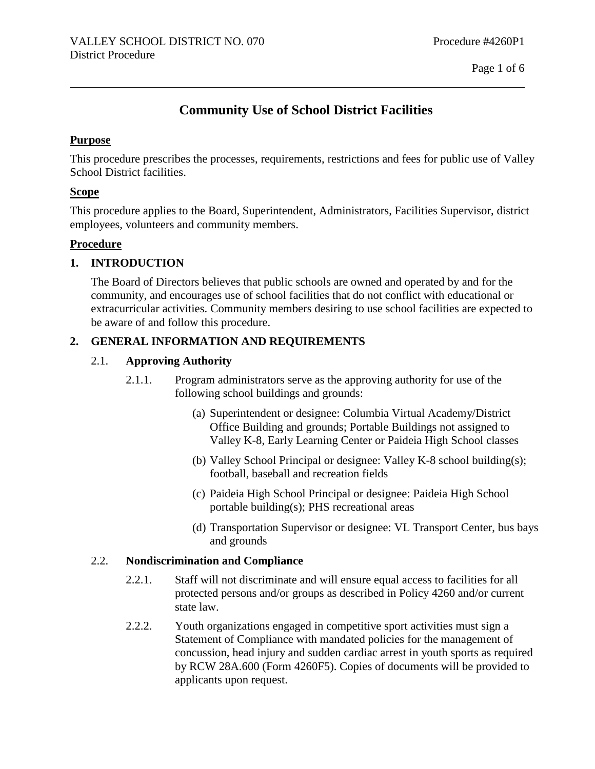# **Community Use of School District Facilities**

#### **Purpose**

This procedure prescribes the processes, requirements, restrictions and fees for public use of Valley School District facilities.

#### **Scope**

This procedure applies to the Board, Superintendent, Administrators, Facilities Supervisor, district employees, volunteers and community members.

### **Procedure**

### **1. INTRODUCTION**

The Board of Directors believes that public schools are owned and operated by and for the community, and encourages use of school facilities that do not conflict with educational or extracurricular activities. Community members desiring to use school facilities are expected to be aware of and follow this procedure.

### **2. GENERAL INFORMATION AND REQUIREMENTS**

### 2.1. **Approving Authority**

- 2.1.1. Program administrators serve as the approving authority for use of the following school buildings and grounds:
	- (a) Superintendent or designee: Columbia Virtual Academy/District Office Building and grounds; Portable Buildings not assigned to Valley K-8, Early Learning Center or Paideia High School classes
	- (b) Valley School Principal or designee: Valley K-8 school building(s); football, baseball and recreation fields
	- (c) Paideia High School Principal or designee: Paideia High School portable building(s); PHS recreational areas
	- (d) Transportation Supervisor or designee: VL Transport Center, bus bays and grounds

#### 2.2. **Nondiscrimination and Compliance**

- 2.2.1. Staff will not discriminate and will ensure equal access to facilities for all protected persons and/or groups as described in Policy 4260 and/or current state law.
- 2.2.2. Youth organizations engaged in competitive sport activities must sign a Statement of Compliance with mandated policies for the management of concussion, head injury and sudden cardiac arrest in youth sports as required by RCW 28A.600 (Form 4260F5). Copies of documents will be provided to applicants upon request.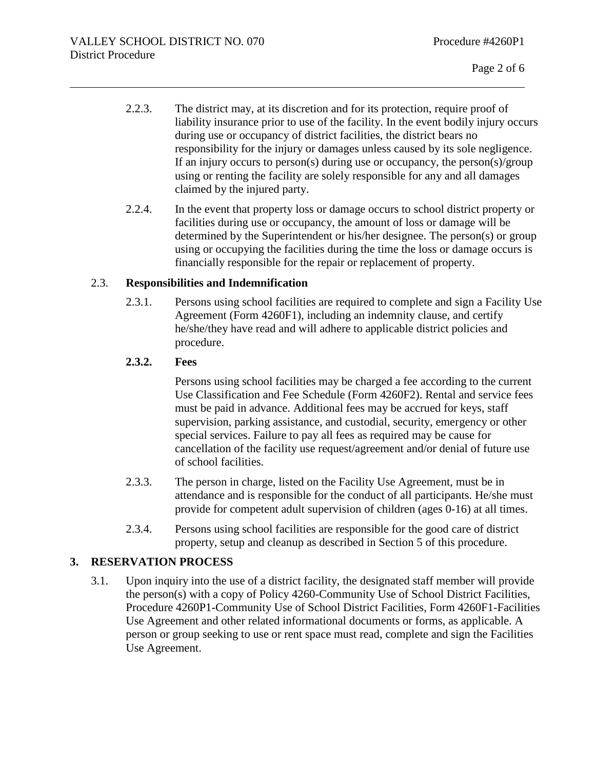- 2.2.3. The district may, at its discretion and for its protection, require proof of liability insurance prior to use of the facility. In the event bodily injury occurs during use or occupancy of district facilities, the district bears no responsibility for the injury or damages unless caused by its sole negligence. If an injury occurs to person(s) during use or occupancy, the person(s)/group using or renting the facility are solely responsible for any and all damages claimed by the injured party.
- 2.2.4. In the event that property loss or damage occurs to school district property or facilities during use or occupancy, the amount of loss or damage will be determined by the Superintendent or his/her designee. The person(s) or group using or occupying the facilities during the time the loss or damage occurs is financially responsible for the repair or replacement of property.

## 2.3. **Responsibilities and Indemnification**

2.3.1. Persons using school facilities are required to complete and sign a Facility Use Agreement (Form 4260F1), including an indemnity clause, and certify he/she/they have read and will adhere to applicable district policies and procedure.

### **2.3.2. Fees**

Persons using school facilities may be charged a fee according to the current Use Classification and Fee Schedule (Form 4260F2). Rental and service fees must be paid in advance. Additional fees may be accrued for keys, staff supervision, parking assistance, and custodial, security, emergency or other special services. Failure to pay all fees as required may be cause for cancellation of the facility use request/agreement and/or denial of future use of school facilities.

- 2.3.3. The person in charge, listed on the Facility Use Agreement, must be in attendance and is responsible for the conduct of all participants. He/she must provide for competent adult supervision of children (ages 0-16) at all times.
- 2.3.4. Persons using school facilities are responsible for the good care of district property, setup and cleanup as described in Section 5 of this procedure.

### **3. RESERVATION PROCESS**

3.1. Upon inquiry into the use of a district facility, the designated staff member will provide the person(s) with a copy of Policy 4260-Community Use of School District Facilities, Procedure 4260P1-Community Use of School District Facilities, Form 4260F1-Facilities Use Agreement and other related informational documents or forms, as applicable. A person or group seeking to use or rent space must read, complete and sign the Facilities Use Agreement.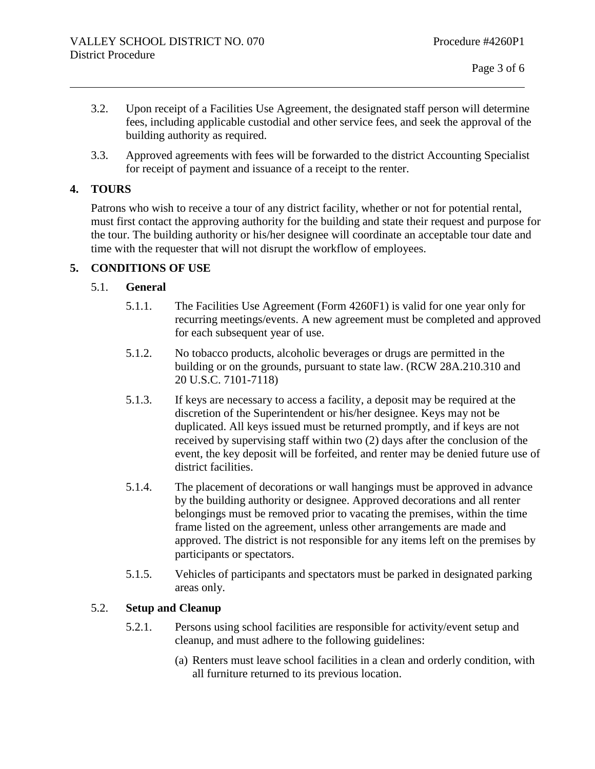- 3.2. Upon receipt of a Facilities Use Agreement, the designated staff person will determine fees, including applicable custodial and other service fees, and seek the approval of the building authority as required.
- 3.3. Approved agreements with fees will be forwarded to the district Accounting Specialist for receipt of payment and issuance of a receipt to the renter.

### **4. TOURS**

Patrons who wish to receive a tour of any district facility, whether or not for potential rental, must first contact the approving authority for the building and state their request and purpose for the tour. The building authority or his/her designee will coordinate an acceptable tour date and time with the requester that will not disrupt the workflow of employees.

## **5. CONDITIONS OF USE**

## 5.1. **General**

- 5.1.1. The Facilities Use Agreement (Form 4260F1) is valid for one year only for recurring meetings/events. A new agreement must be completed and approved for each subsequent year of use.
- 5.1.2. No tobacco products, alcoholic beverages or drugs are permitted in the building or on the grounds, pursuant to state law. (RCW 28A.210.310 and 20 U.S.C. 7101-7118)
- 5.1.3. If keys are necessary to access a facility, a deposit may be required at the discretion of the Superintendent or his/her designee. Keys may not be duplicated. All keys issued must be returned promptly, and if keys are not received by supervising staff within two (2) days after the conclusion of the event, the key deposit will be forfeited, and renter may be denied future use of district facilities.
- 5.1.4. The placement of decorations or wall hangings must be approved in advance by the building authority or designee. Approved decorations and all renter belongings must be removed prior to vacating the premises, within the time frame listed on the agreement, unless other arrangements are made and approved. The district is not responsible for any items left on the premises by participants or spectators.
- 5.1.5. Vehicles of participants and spectators must be parked in designated parking areas only.

### 5.2. **Setup and Cleanup**

- 5.2.1. Persons using school facilities are responsible for activity/event setup and cleanup, and must adhere to the following guidelines:
	- (a) Renters must leave school facilities in a clean and orderly condition, with all furniture returned to its previous location.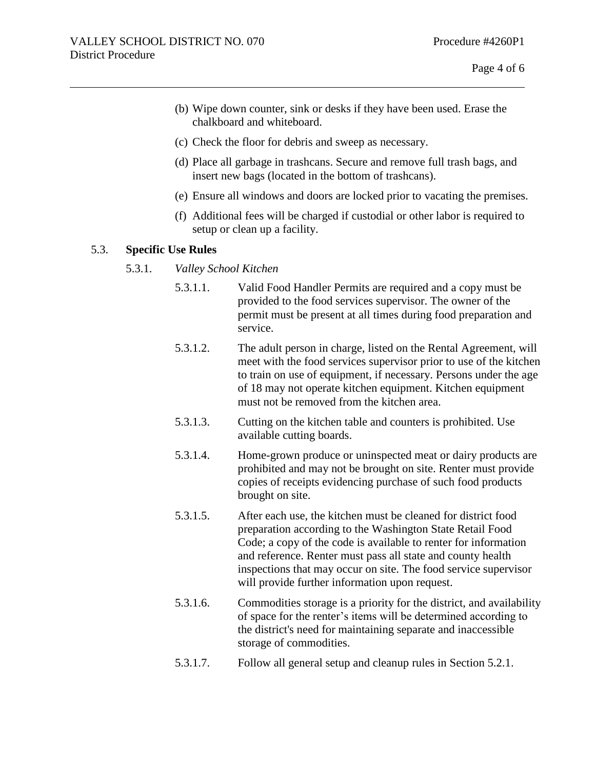- (b) Wipe down counter, sink or desks if they have been used. Erase the chalkboard and whiteboard.
- (c) Check the floor for debris and sweep as necessary.
- (d) Place all garbage in trashcans. Secure and remove full trash bags, and insert new bags (located in the bottom of trashcans).
- (e) Ensure all windows and doors are locked prior to vacating the premises.
- (f) Additional fees will be charged if custodial or other labor is required to setup or clean up a facility.

#### 5.3. **Specific Use Rules**

- 5.3.1. *Valley School Kitchen*
	- 5.3.1.1. Valid Food Handler Permits are required and a copy must be provided to the food services supervisor. The owner of the permit must be present at all times during food preparation and service.
	- 5.3.1.2. The adult person in charge, listed on the Rental Agreement, will meet with the food services supervisor prior to use of the kitchen to train on use of equipment, if necessary. Persons under the age of 18 may not operate kitchen equipment. Kitchen equipment must not be removed from the kitchen area.
	- 5.3.1.3. Cutting on the kitchen table and counters is prohibited. Use available cutting boards.
	- 5.3.1.4. Home-grown produce or uninspected meat or dairy products are prohibited and may not be brought on site. Renter must provide copies of receipts evidencing purchase of such food products brought on site.
	- 5.3.1.5. After each use, the kitchen must be cleaned for district food preparation according to the Washington State Retail Food Code; a copy of the code is available to renter for information and reference. Renter must pass all state and county health inspections that may occur on site. The food service supervisor will provide further information upon request.
	- 5.3.1.6. Commodities storage is a priority for the district, and availability of space for the renter's items will be determined according to the district's need for maintaining separate and inaccessible storage of commodities.
	- 5.3.1.7. Follow all general setup and cleanup rules in Section 5.2.1.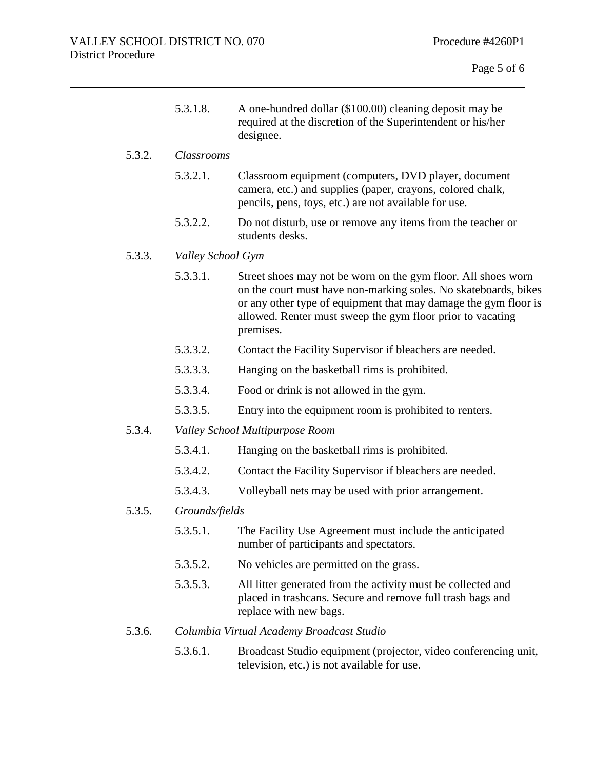|        | 5.3.1.8.          | A one-hundred dollar (\$100.00) cleaning deposit may be<br>required at the discretion of the Superintendent or his/her<br>designee.                                                                                                                                            |  |
|--------|-------------------|--------------------------------------------------------------------------------------------------------------------------------------------------------------------------------------------------------------------------------------------------------------------------------|--|
| 5.3.2. | Classrooms        |                                                                                                                                                                                                                                                                                |  |
|        | 5.3.2.1.          | Classroom equipment (computers, DVD player, document<br>camera, etc.) and supplies (paper, crayons, colored chalk,<br>pencils, pens, toys, etc.) are not available for use.                                                                                                    |  |
|        | 5.3.2.2.          | Do not disturb, use or remove any items from the teacher or<br>students desks.                                                                                                                                                                                                 |  |
| 5.3.3. | Valley School Gym |                                                                                                                                                                                                                                                                                |  |
|        | 5.3.3.1.          | Street shoes may not be worn on the gym floor. All shoes worn<br>on the court must have non-marking soles. No skateboards, bikes<br>or any other type of equipment that may damage the gym floor is<br>allowed. Renter must sweep the gym floor prior to vacating<br>premises. |  |
|        | 5.3.3.2.          | Contact the Facility Supervisor if bleachers are needed.                                                                                                                                                                                                                       |  |
|        | 5.3.3.3.          | Hanging on the basketball rims is prohibited.                                                                                                                                                                                                                                  |  |
|        | 5.3.3.4.          | Food or drink is not allowed in the gym.                                                                                                                                                                                                                                       |  |
|        | 5.3.3.5.          | Entry into the equipment room is prohibited to renters.                                                                                                                                                                                                                        |  |
| 5.3.4. |                   | Valley School Multipurpose Room                                                                                                                                                                                                                                                |  |
|        | 5.3.4.1.          | Hanging on the basketball rims is prohibited.                                                                                                                                                                                                                                  |  |
|        | 5.3.4.2.          | Contact the Facility Supervisor if bleachers are needed.                                                                                                                                                                                                                       |  |
|        | 5.3.4.3.          | Volleyball nets may be used with prior arrangement.                                                                                                                                                                                                                            |  |
| 5.3.5. | Grounds/fields    |                                                                                                                                                                                                                                                                                |  |
|        | 5.3.5.1.          | The Facility Use Agreement must include the anticipated<br>number of participants and spectators.                                                                                                                                                                              |  |
|        | 5.3.5.2.          | No vehicles are permitted on the grass.                                                                                                                                                                                                                                        |  |
|        | 5.3.5.3.          | All litter generated from the activity must be collected and                                                                                                                                                                                                                   |  |

# 5.3.6. *Columbia Virtual Academy Broadcast Studio*

replace with new bags.

5.3.6.1. Broadcast Studio equipment (projector, video conferencing unit, television, etc.) is not available for use.

placed in trashcans. Secure and remove full trash bags and